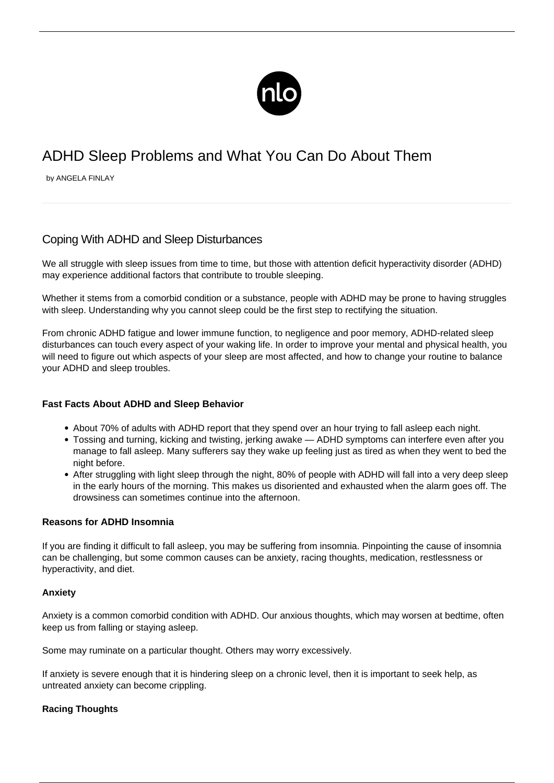

# ADHD Sleep Problems and What You Can Do About Them

by ANGELA FINLAY

# Coping With ADHD and Sleep Disturbances

We all struggle with sleep issues from time to time, but those with attention deficit hyperactivity disorder (ADHD) may experience additional factors that contribute to trouble sleeping.

Whether it stems from a comorbid condition or a substance, people with ADHD may be prone to having struggles with sleep. Understanding why you cannot sleep could be the first step to rectifying the situation.

From chronic [ADHD fatigue](/adhd-fatigue/) and lower immune function, to negligence and poor memory, ADHD-related sleep disturbances can touch every aspect of your waking life. In order to improve your mental and physical health, you will need to figure out which aspects of your sleep are most affected, and how to change your routine to balance your ADHD and sleep troubles.

# **Fast Facts About ADHD and Sleep Behavior**

- About [70% of adults](https://www.additudemag.com/adhd-sleep-disturbances-symptoms/) with ADHD report that they spend over an hour trying to fall asleep each night.
- Tossing and turning, kicking and twisting, jerking awake ADHD symptoms can interfere even after you manage to fall asleep. Many sufferers say they wake up feeling just as tired as when they went to bed the night before.
- After struggling with light sleep through the night, 80% of people with ADHD will fall into a very deep sleep in the early hours of the morning. This makes us disoriented and exhausted when the alarm goes off. The drowsiness can sometimes continue into the afternoon.

# **Reasons for ADHD Insomnia**

If you are finding it difficult to fall asleep, you may be suffering from insomnia. Pinpointing the cause of insomnia can be challenging, but some common causes can be anxiety, racing thoughts, medication, restlessness or hyperactivity, and diet.

# **Anxiety**

[Anxiety is a common comorbid condition with ADHD.](/adhd-anxiety/) Our anxious thoughts, which may worsen at bedtime, often keep us from falling or staying asleep.

Some may ruminate on a particular thought. Others may worry excessively.

If anxiety is severe enough that it is hindering sleep on a chronic level, then it is important to seek help, as untreated anxiety can become crippling.

# **Racing Thoughts**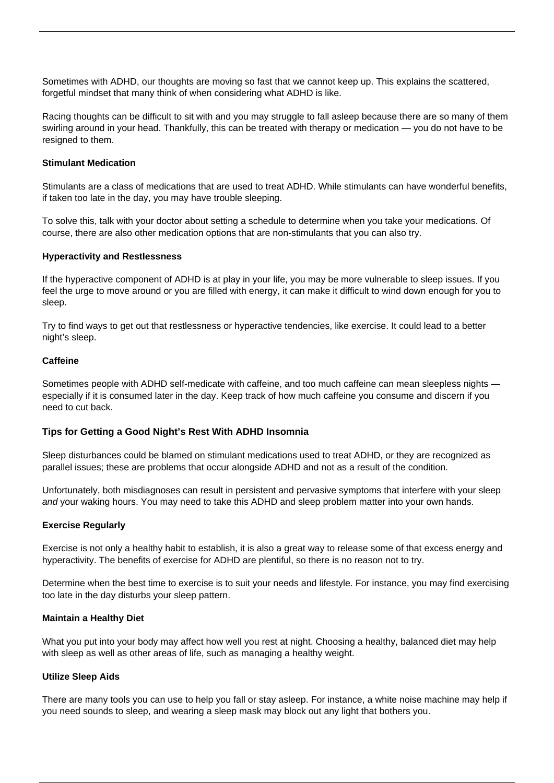Sometimes with ADHD, our thoughts are moving so fast that we cannot keep up. This explains the scattered, forgetful mindset that many think of when considering what ADHD is like.

Racing thoughts can be difficult to sit with and you may struggle to fall asleep because there are so many of them swirling around in your head. Thankfully, this can be treated with therapy or medication — you do not have to be resigned to them.

#### **Stimulant Medication**

Stimulants are a class of medications that are used to treat ADHD. While stimulants can have wonderful benefits, if taken too late in the day, you may have trouble sleeping.

To solve this, talk with your doctor about setting a schedule to determine when you take your medications. Of course, there are also other medication options that are non-stimulants that you can also try.

#### **Hyperactivity and Restlessness**

If the hyperactive component of ADHD is at play in your life, you may be more vulnerable to sleep issues. If you feel the urge to move around or you are filled with energy, it can make it difficult to wind down enough for you to sleep.

Try to find ways to get out that restlessness or hyperactive tendencies, like exercise. It could lead to a better night's sleep.

#### **Caffeine**

Sometimes people with ADHD self-medicate with caffeine, and too much caffeine can mean sleepless nights especially if it is consumed later in the day. Keep track of how much caffeine you consume and discern if you need to cut back.

# **Tips for Getting a Good Night's Rest With ADHD Insomnia**

Sleep disturbances could be blamed on stimulant medications used to treat ADHD, or they are recognized as parallel issues; these are problems that occur alongside ADHD and not as a result of the condition.

Unfortunately, both misdiagnoses can result in persistent and pervasive symptoms that interfere with your sleep and your waking hours. You may need to take this ADHD and sleep problem matter into your own hands.

#### **Exercise Regularly**

Exercise is not only a healthy habit to establish, it is also a great way to release some of that excess energy and hyperactivity. The benefits of [exercise for ADHD](/exercise-for-adhd/) are plentiful, so there is no reason not to try.

Determine when the best time to exercise is to suit your needs and lifestyle. For instance, you may find exercising too late in the day disturbs your sleep pattern.

#### **Maintain a Healthy Diet**

What you put into your body may affect how well you rest at night. Choosing a healthy, balanced diet may help with sleep as well as other areas of life, such as managing a healthy weight.

# **Utilize Sleep Aids**

There are many tools you can use to help you fall or stay asleep. For instance, a white noise machine may help if you need sounds to sleep, and wearing a sleep mask may block out any light that bothers you.